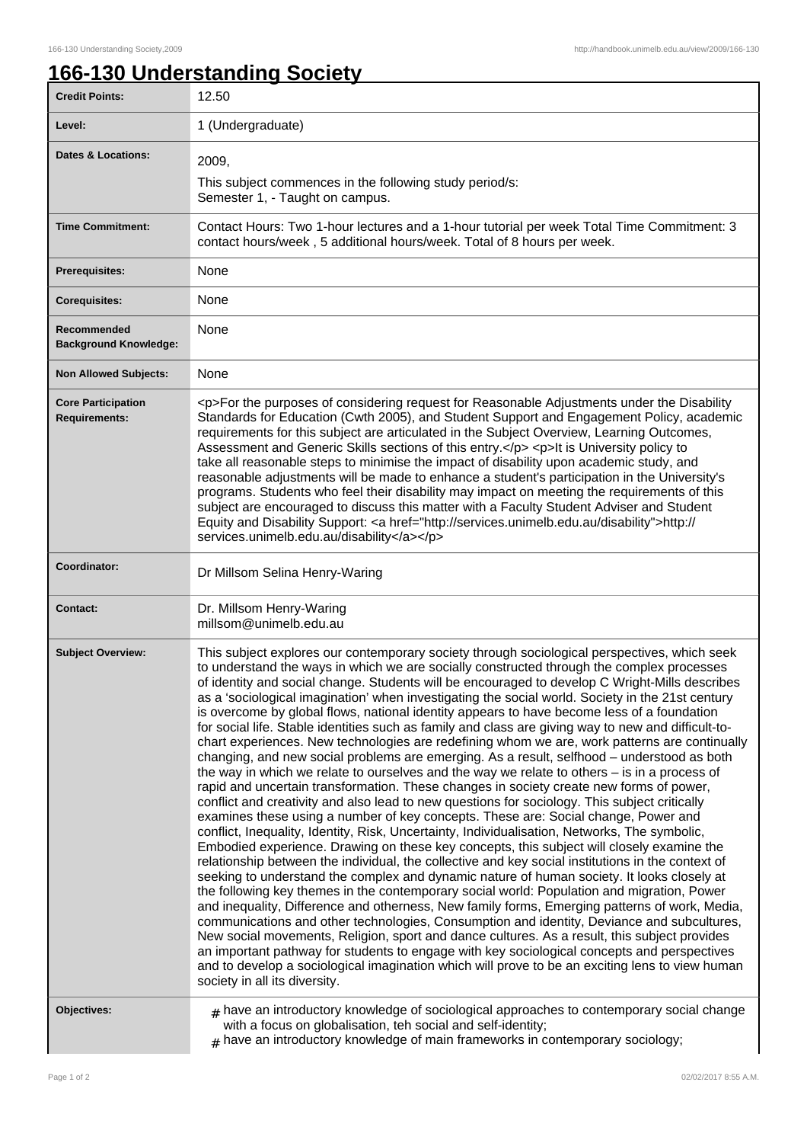## **166-130 Understanding Society**

| <b>Credit Points:</b>                             | 12.50                                                                                                                                                                                                                                                                                                                                                                                                                                                                                                                                                                                                                                                                                                                                                                                                                                                                                                                                                                                                                                                                                                                                                                                                                                                                                                                                                                                                                                                                                                                                                                                                                                                                                                                                                                                                                                                                                                                                                                                                                                                                                                                                                                                                                  |
|---------------------------------------------------|------------------------------------------------------------------------------------------------------------------------------------------------------------------------------------------------------------------------------------------------------------------------------------------------------------------------------------------------------------------------------------------------------------------------------------------------------------------------------------------------------------------------------------------------------------------------------------------------------------------------------------------------------------------------------------------------------------------------------------------------------------------------------------------------------------------------------------------------------------------------------------------------------------------------------------------------------------------------------------------------------------------------------------------------------------------------------------------------------------------------------------------------------------------------------------------------------------------------------------------------------------------------------------------------------------------------------------------------------------------------------------------------------------------------------------------------------------------------------------------------------------------------------------------------------------------------------------------------------------------------------------------------------------------------------------------------------------------------------------------------------------------------------------------------------------------------------------------------------------------------------------------------------------------------------------------------------------------------------------------------------------------------------------------------------------------------------------------------------------------------------------------------------------------------------------------------------------------------|
| Level:                                            | 1 (Undergraduate)                                                                                                                                                                                                                                                                                                                                                                                                                                                                                                                                                                                                                                                                                                                                                                                                                                                                                                                                                                                                                                                                                                                                                                                                                                                                                                                                                                                                                                                                                                                                                                                                                                                                                                                                                                                                                                                                                                                                                                                                                                                                                                                                                                                                      |
| <b>Dates &amp; Locations:</b>                     | 2009.<br>This subject commences in the following study period/s:<br>Semester 1, - Taught on campus.                                                                                                                                                                                                                                                                                                                                                                                                                                                                                                                                                                                                                                                                                                                                                                                                                                                                                                                                                                                                                                                                                                                                                                                                                                                                                                                                                                                                                                                                                                                                                                                                                                                                                                                                                                                                                                                                                                                                                                                                                                                                                                                    |
| <b>Time Commitment:</b>                           | Contact Hours: Two 1-hour lectures and a 1-hour tutorial per week Total Time Commitment: 3<br>contact hours/week, 5 additional hours/week. Total of 8 hours per week.                                                                                                                                                                                                                                                                                                                                                                                                                                                                                                                                                                                                                                                                                                                                                                                                                                                                                                                                                                                                                                                                                                                                                                                                                                                                                                                                                                                                                                                                                                                                                                                                                                                                                                                                                                                                                                                                                                                                                                                                                                                  |
| <b>Prerequisites:</b>                             | None                                                                                                                                                                                                                                                                                                                                                                                                                                                                                                                                                                                                                                                                                                                                                                                                                                                                                                                                                                                                                                                                                                                                                                                                                                                                                                                                                                                                                                                                                                                                                                                                                                                                                                                                                                                                                                                                                                                                                                                                                                                                                                                                                                                                                   |
| <b>Corequisites:</b>                              | None                                                                                                                                                                                                                                                                                                                                                                                                                                                                                                                                                                                                                                                                                                                                                                                                                                                                                                                                                                                                                                                                                                                                                                                                                                                                                                                                                                                                                                                                                                                                                                                                                                                                                                                                                                                                                                                                                                                                                                                                                                                                                                                                                                                                                   |
| Recommended<br><b>Background Knowledge:</b>       | None                                                                                                                                                                                                                                                                                                                                                                                                                                                                                                                                                                                                                                                                                                                                                                                                                                                                                                                                                                                                                                                                                                                                                                                                                                                                                                                                                                                                                                                                                                                                                                                                                                                                                                                                                                                                                                                                                                                                                                                                                                                                                                                                                                                                                   |
| <b>Non Allowed Subjects:</b>                      | None                                                                                                                                                                                                                                                                                                                                                                                                                                                                                                                                                                                                                                                                                                                                                                                                                                                                                                                                                                                                                                                                                                                                                                                                                                                                                                                                                                                                                                                                                                                                                                                                                                                                                                                                                                                                                                                                                                                                                                                                                                                                                                                                                                                                                   |
| <b>Core Participation</b><br><b>Requirements:</b> | <p>For the purposes of considering request for Reasonable Adjustments under the Disability<br/>Standards for Education (Cwth 2005), and Student Support and Engagement Policy, academic<br/>requirements for this subject are articulated in the Subject Overview, Learning Outcomes,<br/>Assessment and Generic Skills sections of this entry.</p> <p>lt is University policy to<br/>take all reasonable steps to minimise the impact of disability upon academic study, and<br/>reasonable adjustments will be made to enhance a student's participation in the University's<br/>programs. Students who feel their disability may impact on meeting the requirements of this<br/>subject are encouraged to discuss this matter with a Faculty Student Adviser and Student<br/>Equity and Disability Support: &lt; a href="http://services.unimelb.edu.au/disability"&gt;http://<br/>services.unimelb.edu.au/disability</p>                                                                                                                                                                                                                                                                                                                                                                                                                                                                                                                                                                                                                                                                                                                                                                                                                                                                                                                                                                                                                                                                                                                                                                                                                                                                                           |
| Coordinator:                                      | Dr Millsom Selina Henry-Waring                                                                                                                                                                                                                                                                                                                                                                                                                                                                                                                                                                                                                                                                                                                                                                                                                                                                                                                                                                                                                                                                                                                                                                                                                                                                                                                                                                                                                                                                                                                                                                                                                                                                                                                                                                                                                                                                                                                                                                                                                                                                                                                                                                                         |
| <b>Contact:</b>                                   | Dr. Millsom Henry-Waring<br>millsom@unimelb.edu.au                                                                                                                                                                                                                                                                                                                                                                                                                                                                                                                                                                                                                                                                                                                                                                                                                                                                                                                                                                                                                                                                                                                                                                                                                                                                                                                                                                                                                                                                                                                                                                                                                                                                                                                                                                                                                                                                                                                                                                                                                                                                                                                                                                     |
| <b>Subject Overview:</b>                          | This subject explores our contemporary society through sociological perspectives, which seek<br>to understand the ways in which we are socially constructed through the complex processes<br>of identity and social change. Students will be encouraged to develop C Wright-Mills describes<br>as a 'sociological imagination' when investigating the social world. Society in the 21st century<br>is overcome by global flows, national identity appears to have become less of a foundation<br>for social life. Stable identities such as family and class are giving way to new and difficult-to-<br>chart experiences. New technologies are redefining whom we are, work patterns are continually<br>changing, and new social problems are emerging. As a result, selfhood - understood as both<br>the way in which we relate to ourselves and the way we relate to others - is in a process of<br>rapid and uncertain transformation. These changes in society create new forms of power,<br>conflict and creativity and also lead to new questions for sociology. This subject critically<br>examines these using a number of key concepts. These are: Social change, Power and<br>conflict, Inequality, Identity, Risk, Uncertainty, Individualisation, Networks, The symbolic,<br>Embodied experience. Drawing on these key concepts, this subject will closely examine the<br>relationship between the individual, the collective and key social institutions in the context of<br>seeking to understand the complex and dynamic nature of human society. It looks closely at<br>the following key themes in the contemporary social world: Population and migration, Power<br>and inequality, Difference and otherness, New family forms, Emerging patterns of work, Media,<br>communications and other technologies, Consumption and identity, Deviance and subcultures,<br>New social movements, Religion, sport and dance cultures. As a result, this subject provides<br>an important pathway for students to engage with key sociological concepts and perspectives<br>and to develop a sociological imagination which will prove to be an exciting lens to view human<br>society in all its diversity. |
| Objectives:                                       | $#$ have an introductory knowledge of sociological approaches to contemporary social change<br>with a focus on globalisation, teh social and self-identity;<br>$#$ have an introductory knowledge of main frameworks in contemporary sociology;                                                                                                                                                                                                                                                                                                                                                                                                                                                                                                                                                                                                                                                                                                                                                                                                                                                                                                                                                                                                                                                                                                                                                                                                                                                                                                                                                                                                                                                                                                                                                                                                                                                                                                                                                                                                                                                                                                                                                                        |